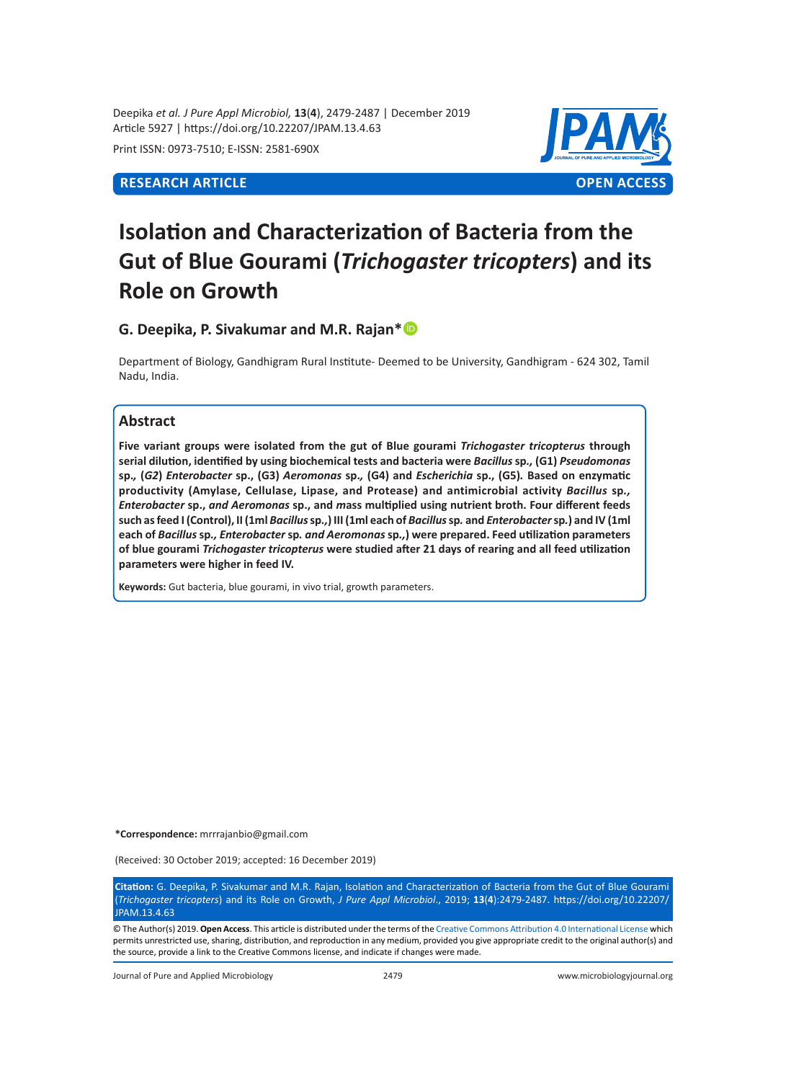Deepika *et al. J Pure Appl Microbiol,* **13**(**4**), 2479-2487 | December 2019 Article 5927 | https://doi.org/10.22207/JPAM.13.4.63

Print ISSN: 0973-7510; E-ISSN: 2581-690X



# **Isolation and Characterization of Bacteria from the Gut of Blue Gourami (***Trichogaster tricopters***) and its Role on Growth**

**G. Deepika, P. Sivakumar and M.R. Rajan\***

Department of Biology, Gandhigram Rural Institute- Deemed to be University, Gandhigram - 624 302, Tamil Nadu, India.

# **Abstract**

**Five variant groups were isolated from the gut of Blue gourami** *Trichogaster tricopterus* **through serial dilution, identified by using biochemical tests and bacteria were** *Bacillus* **sp***.,* **(G1)** *Pseudomonas*  sp., (G2) Enterobacter sp., (G3) Aeromonas sp., (G4) and Escherichia sp., (G5). Based on enzymatic **productivity (Amylase, Cellulase, Lipase, and Protease) and antimicrobial activity** *Bacillus* **sp***., Enterobacter* **sp.,** *and Aeromonas* **sp., and** *m***ass multiplied using nutrient broth. Four different feeds such as feed I (Control), II (1ml** *Bacillus* **sp***.,***) III (1ml each of** *Bacillus* **sp***.* **and** *Enterobacter* **sp***.***) and IV (1ml each of** *Bacillus* **sp***., Enterobacter* **sp***. and Aeromonas* **sp***.,***) were prepared. Feed utilization parameters of blue gourami** *Trichogaster tricopterus* **were studied after 21 days of rearing and all feed utilization parameters were higher in feed IV.**

**Keywords:** Gut bacteria, blue gourami, in vivo trial, growth parameters.

**\*Correspondence:** mrrrajanbio@gmail.com

(Received: 30 October 2019; accepted: 16 December 2019)

**Citation:** G. Deepika, P. Sivakumar and M.R. Rajan, Isolation and Characterization of Bacteria from the Gut of Blue Gourami (*Trichogaster tricopters*) and its Role on Growth, *J Pure Appl Microbiol*., 2019; **13**(**4**):2479-2487. https://doi.org/10.22207/ JPAM.13.4.63

© The Author(s) 2019. **Open Access**. This article is distributed under the terms of the [Creative Commons Attribution 4.0 International License](https://creativecommons.org/licenses/by/4.0/) which permits unrestricted use, sharing, distribution, and reproduction in any medium, provided you give appropriate credit to the original author(s) and the source, provide a link to the Creative Commons license, and indicate if changes were made.

Journal of Pure and Applied Microbiology 2479 www.microbiologyjournal.org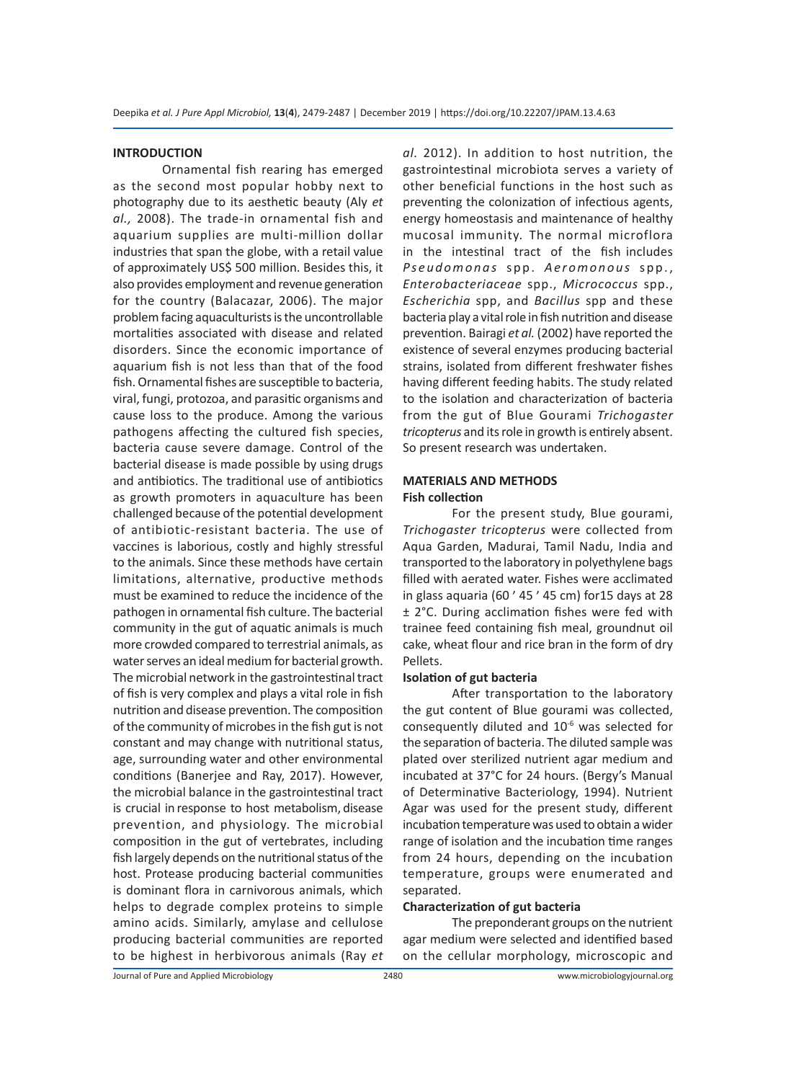#### **INTRODUCTION**

Ornamental fish rearing has emerged as the second most popular hobby next to photography due to its aesthetic beauty (Aly *et al.,* 2008). The trade-in ornamental fish and aquarium supplies are multi-million dollar industries that span the globe, with a retail value of approximately US\$ 500 million. Besides this, it also provides employment and revenue generation for the country (Balacazar, 2006). The major problem facing aquaculturists is the uncontrollable mortalities associated with disease and related disorders. Since the economic importance of aquarium fish is not less than that of the food fish. Ornamental fishes are susceptible to bacteria, viral, fungi, protozoa, and parasitic organisms and cause loss to the produce. Among the various pathogens affecting the cultured fish species, bacteria cause severe damage. Control of the bacterial disease is made possible by using drugs and antibiotics. The traditional use of antibiotics as growth promoters in aquaculture has been challenged because of the potential development of antibiotic-resistant bacteria. The use of vaccines is laborious, costly and highly stressful to the animals. Since these methods have certain limitations, alternative, productive methods must be examined to reduce the incidence of the pathogen in ornamental fish culture. The bacterial community in the gut of aquatic animals is much more crowded compared to terrestrial animals, as water serves an ideal medium for bacterial growth. The microbial network in the gastrointestinal tract of fish is very complex and plays a vital role in fish nutrition and disease prevention. The composition of the community of microbes in the fish gut is not constant and may change with nutritional status, age, surrounding water and other environmental conditions (Banerjee and Ray, 2017). However, the microbial balance in the gastrointestinal tract is crucial in response to host metabolism, disease prevention, and physiology. The microbial composition in the gut of vertebrates, including fish largely depends on the nutritional status of the host. Protease producing bacterial communities is dominant flora in carnivorous animals, which helps to degrade complex proteins to simple amino acids. Similarly, amylase and cellulose producing bacterial communities are reported to be highest in herbivorous animals (Ray *et*  *al.* 2012). In addition to host nutrition, the gastrointestinal microbiota serves a variety of other beneficial functions in the host such as preventing the colonization of infectious agents, energy homeostasis and maintenance of healthy mucosal immunity. The normal microflora in the intestinal tract of the fish includes *Pseudomonas* spp. Aeromonous spp., *Enterobacteriaceae* spp., *Micrococcus* spp., *Escherichia* spp, and *Bacillus* spp and these bacteria play a vital role in fish nutrition and disease prevention. Bairagi *et al.* (2002) have reported the existence of several enzymes producing bacterial strains, isolated from different freshwater fishes having different feeding habits. The study related to the isolation and characterization of bacteria from the gut of Blue Gourami *Trichogaster tricopterus* and its role in growth is entirely absent. So present research was undertaken.

## **MATERIALS AND METHODS Fish collection**

For the present study, Blue gourami, *Trichogaster tricopterus* were collected from Aqua Garden, Madurai, Tamil Nadu, India and transported to the laboratory in polyethylene bags filled with aerated water. Fishes were acclimated in glass aquaria (60 ׳ 45 ׳ 45 cm) for15 days at 28 ± 2°C. During acclimation fishes were fed with trainee feed containing fish meal, groundnut oil cake, wheat flour and rice bran in the form of dry Pellets.

#### **Isolation of gut bacteria**

After transportation to the laboratory the gut content of Blue gourami was collected, consequently diluted and 10-6 was selected for the separation of bacteria. The diluted sample was plated over sterilized nutrient agar medium and incubated at 37°C for 24 hours. (Bergy's Manual of Determinative Bacteriology, 1994). Nutrient Agar was used for the present study, different incubation temperature was used to obtain a wider range of isolation and the incubation time ranges from 24 hours, depending on the incubation temperature, groups were enumerated and separated.

#### **Characterization of gut bacteria**

The preponderant groups on the nutrient agar medium were selected and identified based on the cellular morphology, microscopic and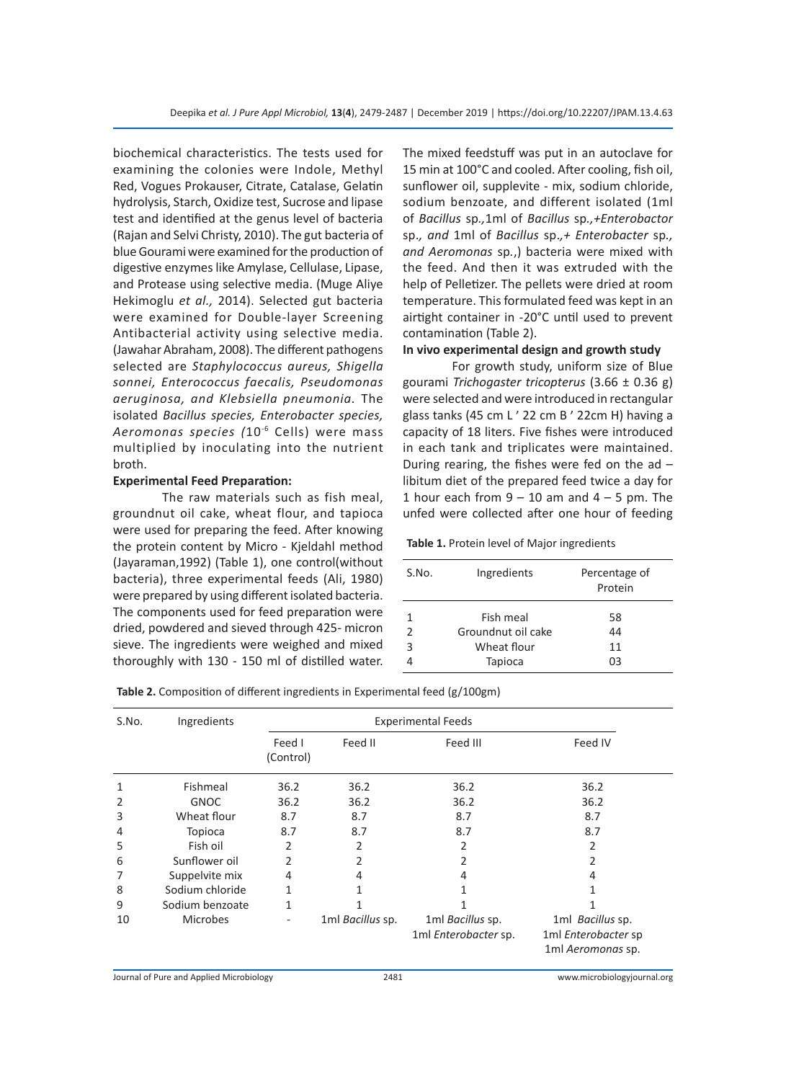biochemical characteristics. The tests used for examining the colonies were Indole, Methyl Red, Vogues Prokauser, Citrate, Catalase, Gelatin hydrolysis, Starch, Oxidize test, Sucrose and lipase test and identified at the genus level of bacteria (Rajan and Selvi Christy, 2010). The gut bacteria of blue Gourami were examined for the production of digestive enzymes like Amylase, Cellulase, Lipase, and Protease using selective media. (Muge Aliye Hekimoglu *et al.,* 2014). Selected gut bacteria were examined for Double-layer Screening Antibacterial activity using selective media. (Jawahar Abraham, 2008). The different pathogens selected are *Staphylococcus aureus, Shigella sonnei, Enterococcus faecalis, Pseudomonas aeruginosa, and Klebsiella pneumonia.* The isolated *Bacillus species, Enterobacter species, Aeromonas species (*10-6 Cells) were mass multiplied by inoculating into the nutrient broth.

#### **Experimental Feed Preparation:**

The raw materials such as fish meal, groundnut oil cake, wheat flour, and tapioca were used for preparing the feed. After knowing the protein content by Micro - Kjeldahl method (Jayaraman,1992) (Table 1), one control(without bacteria), three experimental feeds (Ali, 1980) were prepared by using different isolated bacteria. The components used for feed preparation were dried, powdered and sieved through 425- micron sieve. The ingredients were weighed and mixed thoroughly with 130 - 150 ml of distilled water. The mixed feedstuff was put in an autoclave for 15 min at 100°C and cooled. After cooling, fish oil, sunflower oil, supplevite - mix, sodium chloride, sodium benzoate, and different isolated (1ml of *Bacillus* sp*.,*1ml of *Bacillus* sp*.,+Enterobactor*  sp.*, and* 1ml of *Bacillus* sp.*,+ Enterobacter* sp*., and Aeromonas* sp*.*,) bacteria were mixed with the feed. And then it was extruded with the help of Pelletizer. The pellets were dried at room temperature. This formulated feed was kept in an airtight container in -20°C until used to prevent contamination (Table 2).

#### **In vivo experimental design and growth study**

For growth study, uniform size of Blue gourami *Trichogaster tricopterus* (3.66 ± 0.36 g) were selected and were introduced in rectangular glass tanks (45 cm L'22 cm B'22cm H) having a capacity of 18 liters. Five fishes were introduced in each tank and triplicates were maintained. During rearing, the fishes were fed on the  $ad$ libitum diet of the prepared feed twice a day for 1 hour each from  $9 - 10$  am and  $4 - 5$  pm. The unfed were collected after one hour of feeding

**Table 1.** Protein level of Major ingredients

| S.No.         | Ingredients        | Percentage of<br>Protein |
|---------------|--------------------|--------------------------|
| 1             | Fish meal          | 58                       |
| $\mathfrak z$ | Groundnut oil cake | 44                       |
| 3             | Wheat flour        | 11                       |
|               | Tapioca            | OЗ                       |

|  |  | <b>Table 2.</b> Composition of different ingredients in Experimental feed $(g/100gm)$ |
|--|--|---------------------------------------------------------------------------------------|
|  |  |                                                                                       |

| S.No.             | Ingredients<br><b>Experimental Feeds</b> |                     |                  |                                          |                                                              |  |
|-------------------|------------------------------------------|---------------------|------------------|------------------------------------------|--------------------------------------------------------------|--|
|                   |                                          | Feed I<br>(Control) | Feed II          | Feed III                                 | Feed IV                                                      |  |
| $\mathbf{1}$<br>2 | Fishmeal<br><b>GNOC</b>                  | 36.2<br>36.2        | 36.2<br>36.2     | 36.2<br>36.2                             | 36.2<br>36.2                                                 |  |
| 3                 | Wheat flour                              | 8.7                 | 8.7              | 8.7                                      | 8.7                                                          |  |
| 4                 | Topioca                                  | 8.7                 | 8.7              | 8.7                                      | 8.7                                                          |  |
| 5                 | Fish oil                                 | 2                   | <sup>2</sup>     | 2                                        | 2                                                            |  |
| 6                 | Sunflower oil                            | 2                   | 2                | 2                                        | 2                                                            |  |
| 7                 | Suppelvite mix                           | 4                   | 4                | 4                                        | 4                                                            |  |
| 8                 | Sodium chloride                          | 1                   | 1                | 1                                        | 1                                                            |  |
| 9                 | Sodium benzoate                          | 1                   | 1                | 1                                        |                                                              |  |
| 10                | <b>Microbes</b>                          |                     | 1ml Bacillus sp. | 1ml Bacillus sp.<br>1ml Enterobacter sp. | 1ml Bacillus sp.<br>1ml Enterobacter sp<br>1ml Aeromonas sp. |  |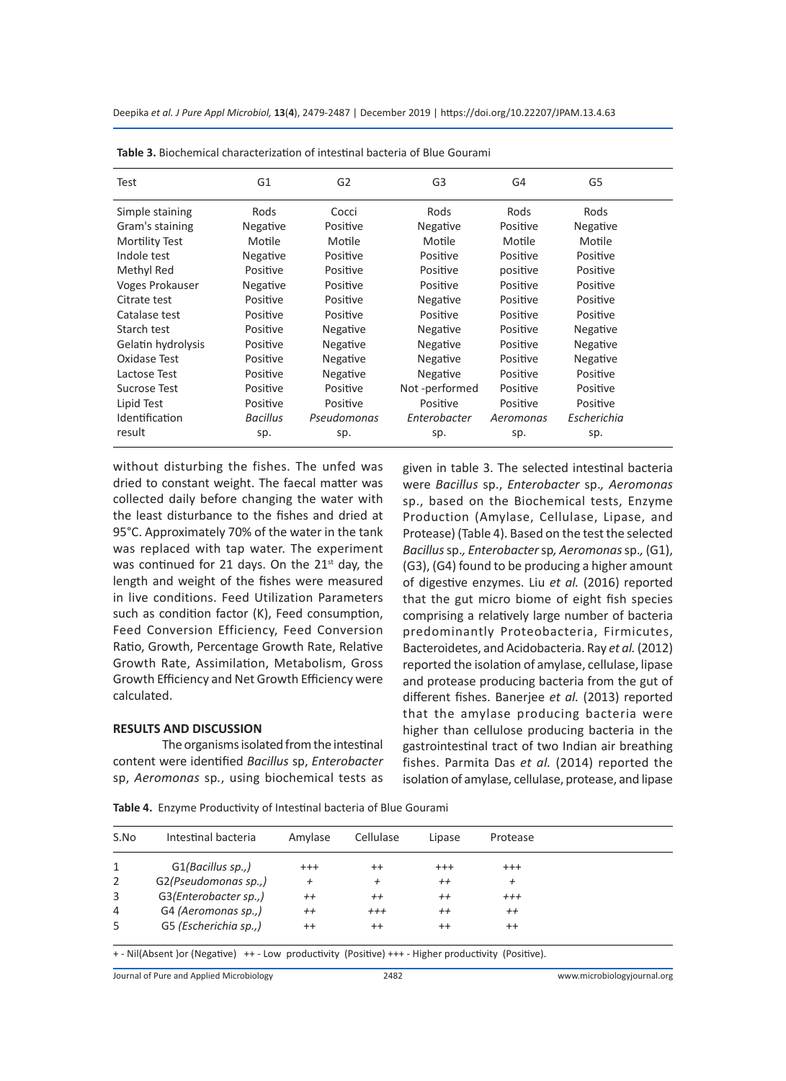| Test                  | G <sub>1</sub> | G <sub>2</sub> | G3            | G4        | G5          |
|-----------------------|----------------|----------------|---------------|-----------|-------------|
| Simple staining       | Rods           | Cocci          | Rods          | Rods      | Rods        |
| Gram's staining       | Negative       | Positive       | Negative      | Positive  | Negative    |
| <b>Mortility Test</b> | Motile         | Motile         | Motile        | Motile    | Motile      |
| Indole test           | Negative       | Positive       | Positive      | Positive  | Positive    |
| Methyl Red            | Positive       | Positive       | Positive      | positive  | Positive    |
| Voges Prokauser       | Negative       | Positive       | Positive      | Positive  | Positive    |
| Citrate test          | Positive       | Positive       | Negative      | Positive  | Positive    |
| Catalase test         | Positive       | Positive       | Positive      | Positive  | Positive    |
| Starch test           | Positive       | Negative       | Negative      | Positive  | Negative    |
| Gelatin hydrolysis    | Positive       | Negative       | Negative      | Positive  | Negative    |
| Oxidase Test          | Positive       | Negative       | Negative      | Positive  | Negative    |
| Lactose Test          | Positive       | Negative       | Negative      | Positive  | Positive    |
| Sucrose Test          | Positive       | Positive       | Not-performed | Positive  | Positive    |
| Lipid Test            | Positive       | Positive       | Positive      | Positive  | Positive    |
| Identification        | Bacillus       | Pseudomonas    | Enterobacter  | Aeromonas | Escherichia |
| result                | sp.            | sp.            | sp.           | sp.       | sp.         |

**Table 3.** Biochemical characterization of intestinal bacteria of Blue Gourami

without disturbing the fishes. The unfed was dried to constant weight. The faecal matter was collected daily before changing the water with the least disturbance to the fishes and dried at 95°C. Approximately 70% of the water in the tank was replaced with tap water. The experiment was continued for 21 days. On the  $21<sup>st</sup>$  day, the length and weight of the fishes were measured in live conditions. Feed Utilization Parameters such as condition factor (K), Feed consumption, Feed Conversion Efficiency, Feed Conversion Ratio, Growth, Percentage Growth Rate, Relative Growth Rate, Assimilation, Metabolism, Gross Growth Efficiency and Net Growth Efficiency were calculated.

#### **RESULTS AND DISCUSSION**

The organisms isolated from the intestinal content were identified *Bacillus* sp, *Enterobacter*  sp, *Aeromonas* sp*.*, using biochemical tests as

given in table 3. The selected intestinal bacteria were *Bacillus* sp., *Enterobacter* sp.*, Aeromonas*  sp., based on the Biochemical tests, Enzyme Production (Amylase, Cellulase, Lipase, and Protease) (Table 4). Based on the test the selected *Bacillus*sp.*, Enterobacter* sp*, Aeromonas* sp.*,* (G1), (G3), (G4) found to be producing a higher amount of digestive enzymes. Liu *et al.* (2016) reported that the gut micro biome of eight fish species comprising a relatively large number of bacteria predominantly Proteobacteria, Firmicutes, Bacteroidetes, and Acidobacteria. Ray *et al.* (2012) reported the isolation of amylase, cellulase, lipase and protease producing bacteria from the gut of different fishes. Banerjee *et al.* (2013) reported that the amylase producing bacteria were higher than cellulose producing bacteria in the gastrointestinal tract of two Indian air breathing fishes. Parmita Das *et al.* (2014) reported the isolation of amylase, cellulase, protease, and lipase

| S.No | Intestinal bacteria                                                                                      | Amylase        | Cellulase | Lipase   | Protease  |
|------|----------------------------------------------------------------------------------------------------------|----------------|-----------|----------|-----------|
| 1    | $G1/Bacillus$ sp.,)                                                                                      | $^{+++}$       | $^{++}$   | $^{+++}$ | $^{+++}$  |
| 2    | G2(Pseudomonas sp.,)                                                                                     | $\overline{+}$ | $\ddot{}$ | $^{++}$  | $\pmb{+}$ |
| 3    | G3(Enterobacter sp.,)                                                                                    | $^{++}$        | $^{++}$   | $^{++}$  | $+++$     |
| 4    | G4 (Aeromonas sp.,)                                                                                      | $^{++}$        | $+++$     | $^{++}$  | $^{++}$   |
| 5    | G5 (Escherichia sp.,)                                                                                    | $^{++}$        | $^{++}$   | $^{++}$  | $^{++}$   |
|      | + - Nil(Absent ) or (Negative) + + - Low productivity (Positive) + + + - Higher productivity (Positive). |                |           |          |           |

**Table 4.** Enzyme Productivity of Intestinal bacteria of Blue Gourami

Journal of Pure and Applied Microbiology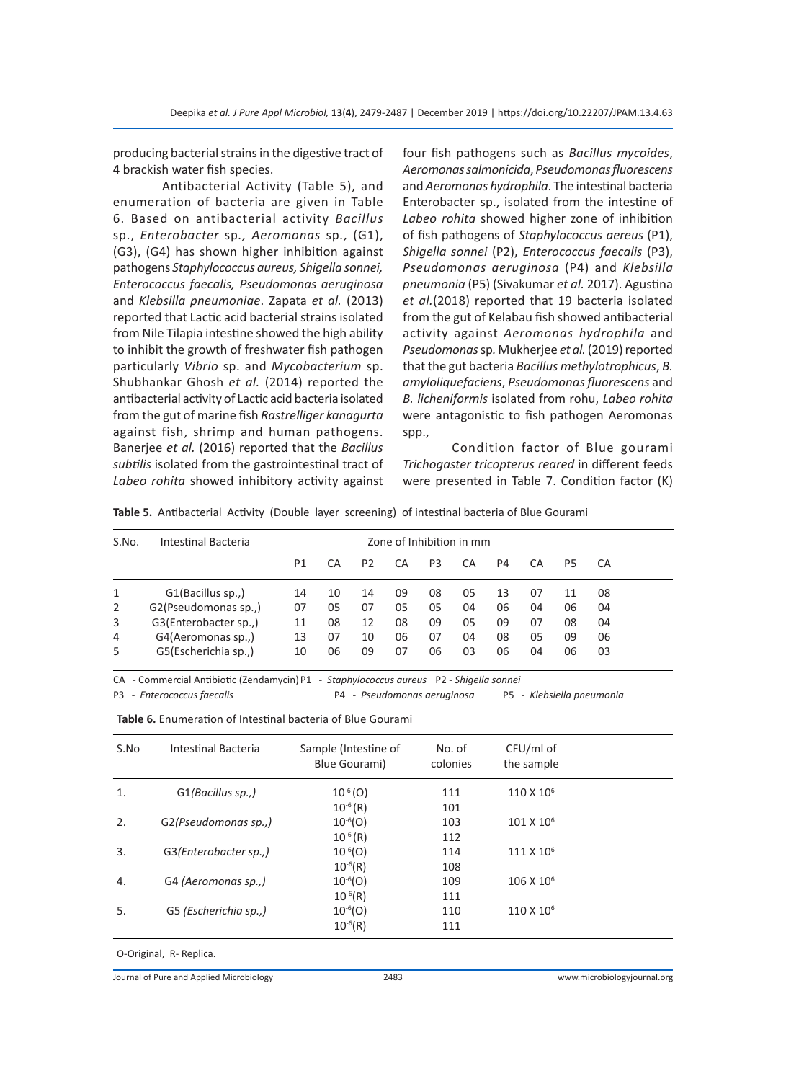producing bacterial strains in the digestive tract of 4 brackish water fish species.

Antibacterial Activity (Table 5), and enumeration of bacteria are given in Table 6. Based on antibacterial activity *Bacillus*  sp., *Enterobacter* sp*., Aeromonas* sp*.,* (G1), (G3), (G4) has shown higher inhibition against pathogens *Staphylococcus aureus, Shigella sonnei, Enterococcus faecalis, Pseudomonas aeruginosa*  and *Klebsilla pneumoniae*. Zapata *et al.* (2013) reported that Lactic acid bacterial strains isolated from Nile Tilapia intestine showed the high ability to inhibit the growth of freshwater fish pathogen particularly *Vibrio* sp. and *Mycobacterium* sp. Shubhankar Ghosh *et al.* (2014) reported the antibacterial activity of Lactic acid bacteria isolated from the gut of marine fish *Rastrelliger kanagurta* against fish, shrimp and human pathogens. Banerjee *et al.* (2016) reported that the *Bacillus subtilis* isolated from the gastrointestinal tract of *Labeo rohita* showed inhibitory activity against

four fish pathogens such as *Bacillus mycoides*, *Aeromonas salmonicida*, *Pseudomonas fluorescens* and *Aeromonas hydrophila*. The intestinal bacteria Enterobacter sp., isolated from the intestine of *Labeo rohita* showed higher zone of inhibition of fish pathogens of *Staphylococcus aereus* (P1), *Shigella sonnei* (P2), *Enterococcus faecalis* (P3), *Pseudomonas aeruginosa* (P4) and *Klebsilla pneumonia* (P5) (Sivakumar *et al.* 2017). Agustina *et al.*(2018) reported that 19 bacteria isolated from the gut of Kelabau fish showed antibacterial activity against *Aeromonas hydrophila* and *Pseudomonas*sp*.* Mukherjee *et al.* (2019) reported that the gut bacteria *Bacillus methylotrophicus*, *B. amyloliquefaciens*, *Pseudomonas fluorescens* and *B. licheniformis* isolated from rohu, *Labeo rohita* were antagonistic to fish pathogen Aeromonas spp.,

Condition factor of Blue gourami *Trichogaster tricopterus reared* in different feeds were presented in Table 7. Condition factor (K)

**Table 5.** Antibacterial Activity (Double layer screening) of intestinal bacteria of Blue Gourami

| S.No. | Intestinal Bacteria<br>Zone of Inhibition in mm |                |    |                |    |    |    |    |    |    |    |  |
|-------|-------------------------------------------------|----------------|----|----------------|----|----|----|----|----|----|----|--|
|       |                                                 | P <sub>1</sub> | СA | P <sub>2</sub> | CA | P3 | СA | P4 | CA | P5 | CA |  |
| 1     | G1(Bacillus sp.,)                               | 14             | 10 | 14             | 09 | 08 | 05 | 13 | 07 | 11 | 08 |  |
| 2     | G2(Pseudomonas sp.,)                            | 07             | 05 | 07             | 05 | 05 | 04 | 06 | 04 | 06 | 04 |  |
| 3     | G3(Enterobacter sp.,)                           | 11             | 08 | 12             | 08 | 09 | 05 | 09 | 07 | 08 | 04 |  |
| 4     | G4(Aeromonas sp.,)                              | 13             | 07 | 10             | 06 | 07 | 04 | 08 | 05 | 09 | 06 |  |
| 5     | G5(Escherichia sp.,)                            | 10             | 06 | 09             | 07 | 06 | 03 | 06 | 04 | 06 | 03 |  |

CA - Commercial Antibiotic (Zendamycin) P1 - *Staphylococcus aureus* P2 - *Shigella sonnei*

P3 - *Enterococcus faecalis* P4 - *Pseudomonas aeruginosa* P5 - *Klebsiella pneumonia*

| S.No | Intestinal Bacteria   | Sample (Intestine of<br>Blue Gourami) | No. of<br>colonies | CFU/ml of<br>the sample |  |
|------|-----------------------|---------------------------------------|--------------------|-------------------------|--|
| 1.   | G1(Bacillus sp.,)     | $10^{-6}$ (O)                         | 111                | 110 X 10 <sup>6</sup>   |  |
|      |                       | $10^{-6}$ (R)                         | 101                |                         |  |
| 2.   | G2(Pseudomonas sp.,)  | $10^{-6}$ (O)                         | 103                | 101 X 10 <sup>6</sup>   |  |
|      |                       | $10^{-6} (R)$                         | 112                |                         |  |
| 3.   | G3(Enterobacter sp.,) | $10^{-6}$ (O)                         | 114                | 111 X 10 <sup>6</sup>   |  |
|      |                       | $10^{-6}$ (R)                         | 108                |                         |  |
| 4.   | G4 (Aeromonas sp.,)   | $10^{-6}$ (O)                         | 109                | 106 X 10 <sup>6</sup>   |  |
|      |                       | $10^{-6}$ (R)                         | 111                |                         |  |
| 5.   | G5 (Escherichia sp.,) | $10^{-6}$ (O)                         | 110                | 110 X 10 <sup>6</sup>   |  |
|      |                       | $10^{-6}$ (R)                         | 111                |                         |  |

**Table 6.** Enumeration of Intestinal bacteria of Blue Gourami

O-Original, R- Replica.

Journal of Pure and Applied Microbiology 2483 www.microbiologyjournal.org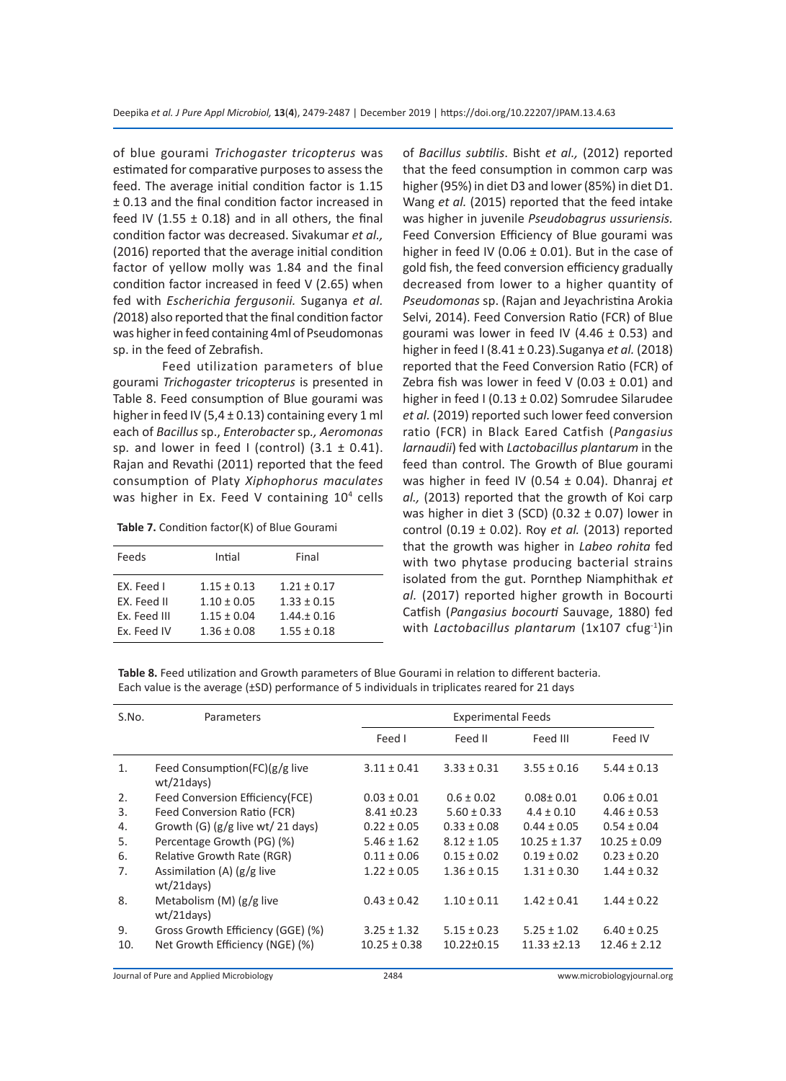of blue gourami *Trichogaster tricopterus* was estimated for comparative purposes to assess the feed. The average initial condition factor is 1.15 ± 0.13 and the final condition factor increased in feed IV (1.55  $\pm$  0.18) and in all others, the final condition factor was decreased. Sivakumar *et al.,* (2016) reported that the average initial condition factor of yellow molly was 1.84 and the final condition factor increased in feed V (2.65) when fed with *Escherichia fergusonii.* Suganya *et al. (*2018) also reported that the final condition factor was higher in feed containing 4ml of Pseudomonas sp. in the feed of Zebrafish.

Feed utilization parameters of blue gourami *Trichogaster tricopterus* is presented in Table 8. Feed consumption of Blue gourami was higher in feed IV (5,4  $\pm$  0.13) containing every 1 ml each of *Bacillus* sp., *Enterobacter* sp*., Aeromonas*  sp. and lower in feed I (control)  $(3.1 \pm 0.41)$ . Rajan and Revathi (2011) reported that the feed consumption of Platy *Xiphophorus maculates*  was higher in Ex. Feed V containing 10<sup>4</sup> cells

**Table 7.** Condition factor(K) of Blue Gourami

| Feeds        | Intial          | Final           |  |
|--------------|-----------------|-----------------|--|
| EX. Feed I   | $1.15 \pm 0.13$ | $1.21 \pm 0.17$ |  |
| EX. Feed II  | $1.10 \pm 0.05$ | $1.33 \pm 0.15$ |  |
| Ex. Feed III | $1.15 \pm 0.04$ | $1.44 \pm 0.16$ |  |
| Ex. Feed IV  | $1.36 \pm 0.08$ | $1.55 \pm 0.18$ |  |

of *Bacillus subtilis*. Bisht *et al.,* (2012) reported that the feed consumption in common carp was higher (95%) in diet D3 and lower (85%) in diet D1. Wang *et al.* (2015) reported that the feed intake was higher in juvenile *Pseudobagrus ussuriensis.* Feed Conversion Efficiency of Blue gourami was higher in feed IV (0.06  $\pm$  0.01). But in the case of gold fish, the feed conversion efficiency gradually decreased from lower to a higher quantity of *Pseudomonas* sp. (Rajan and Jeyachristina Arokia Selvi, 2014). Feed Conversion Ratio (FCR) of Blue gourami was lower in feed IV (4.46  $\pm$  0.53) and higher in feed I (8.41 ± 0.23).Suganya *et al.* (2018) reported that the Feed Conversion Ratio (FCR) of Zebra fish was lower in feed V (0.03  $\pm$  0.01) and higher in feed I (0.13 ± 0.02) Somrudee Silarudee *et al.* (2019) reported such lower feed conversion ratio (FCR) in Black Eared Catfish (*Pangasius larnaudii*) fed with *Lactobacillus plantarum* in the feed than control. The Growth of Blue gourami was higher in feed IV (0.54 ± 0.04). Dhanraj *et al.,* (2013) reported that the growth of Koi carp was higher in diet 3 (SCD) (0.32  $\pm$  0.07) lower in control (0.19 ± 0.02). Roy *et al.* (2013) reported that the growth was higher in *Labeo rohita* fed with two phytase producing bacterial strains isolated from the gut. Pornthep Niamphithak *et al.* (2017) reported higher growth in Bocourti Catfish (*Pangasius bocourti* Sauvage, 1880) fed with *Lactobacillus plantarum* (1x107 cfug<sup>-1</sup>)in

**Table 8.** Feed utilization and Growth parameters of Blue Gourami in relation to different bacteria. Each value is the average (±SD) performance of 5 individuals in triplicates reared for 21 days

| S.No. | <b>Parameters</b>                                 | <b>Experimental Feeds</b> |                  |                  |                  |  |  |  |  |
|-------|---------------------------------------------------|---------------------------|------------------|------------------|------------------|--|--|--|--|
|       |                                                   | Feed I                    | Feed II          | Feed III         | Feed IV          |  |  |  |  |
| 1.    | Feed Consumption(FC) $(g/g$ live<br>$wt/21$ days) | $3.11 \pm 0.41$           | $3.33 \pm 0.31$  | $3.55 \pm 0.16$  | $5.44 \pm 0.13$  |  |  |  |  |
| 2.    | Feed Conversion Efficiency (FCE)                  | $0.03 \pm 0.01$           | $0.6 \pm 0.02$   | $0.08 + 0.01$    | $0.06 \pm 0.01$  |  |  |  |  |
| 3.    | Feed Conversion Ratio (FCR)                       | $8.41 \pm 0.23$           | $5.60 \pm 0.33$  | $4.4 \pm 0.10$   | $4.46 \pm 0.53$  |  |  |  |  |
| 4.    | Growth (G) $(g/g$ live wt/ 21 days)               | $0.22 \pm 0.05$           | $0.33 \pm 0.08$  | $0.44 \pm 0.05$  | $0.54 \pm 0.04$  |  |  |  |  |
| 5.    | Percentage Growth (PG) (%)                        | $5.46 \pm 1.62$           | $8.12 \pm 1.05$  | $10.25 \pm 1.37$ | $10.25 \pm 0.09$ |  |  |  |  |
| 6.    | Relative Growth Rate (RGR)                        | $0.11 \pm 0.06$           | $0.15 \pm 0.02$  | $0.19 \pm 0.02$  | $0.23 \pm 0.20$  |  |  |  |  |
| 7.    | Assimilation (A) $(g/g$ live<br>$wt/21$ days)     | $1.22 \pm 0.05$           | $1.36 \pm 0.15$  | $1.31 \pm 0.30$  | $1.44 \pm 0.32$  |  |  |  |  |
| 8.    | Metabolism $(M)$ (g/g live<br>$wt/21$ days)       | $0.43 \pm 0.42$           | $1.10 \pm 0.11$  | $1.42 \pm 0.41$  | $1.44 \pm 0.22$  |  |  |  |  |
| 9.    | Gross Growth Efficiency (GGE) (%)                 | $3.25 \pm 1.32$           | $5.15 \pm 0.23$  | $5.25 \pm 1.02$  | $6.40 \pm 0.25$  |  |  |  |  |
| 10.   | Net Growth Efficiency (NGE) (%)                   | $10.25 \pm 0.38$          | $10.22 \pm 0.15$ | $11.33 + 2.13$   | $12.46 \pm 2.12$ |  |  |  |  |

Journal of Pure and Applied Microbiology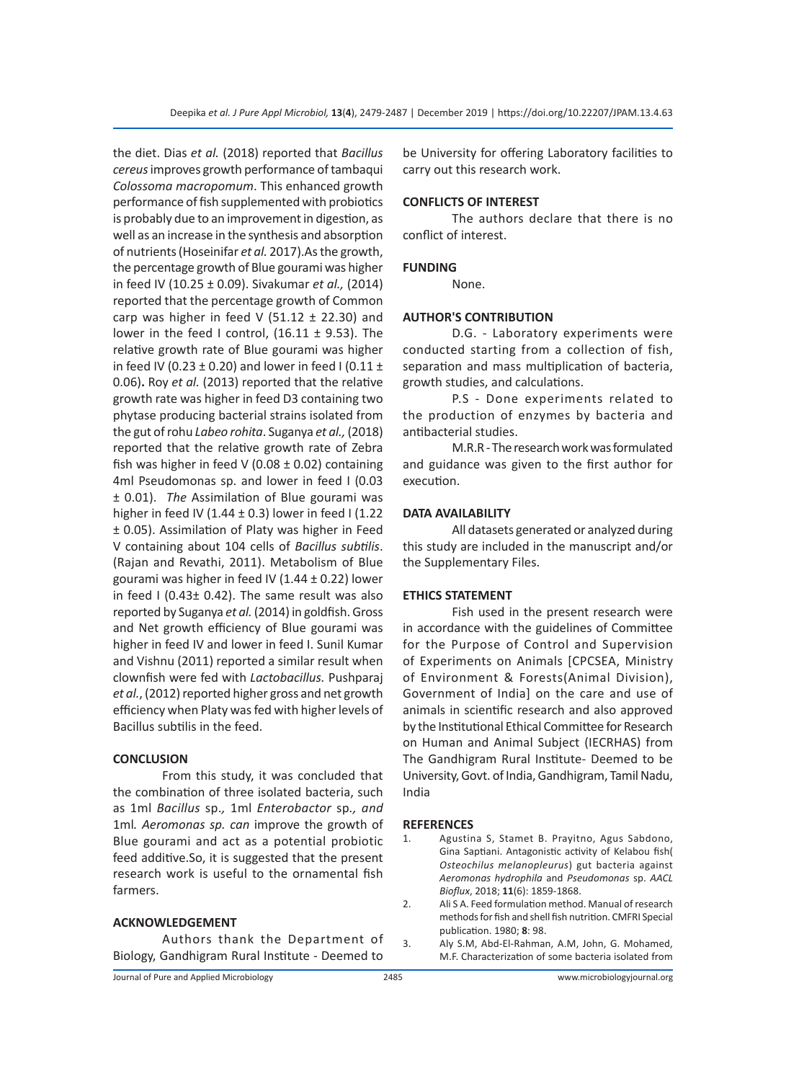the diet. Dias *et al.* (2018) reported that *Bacillus cereus* improves growth performance of tambaqui *Colossoma macropomum*. This enhanced growth performance of fish supplemented with probiotics is probably due to an improvement in digestion, as well as an increase in the synthesis and absorption of nutrients (Hoseinifar *et al.* 2017).As the growth, the percentage growth of Blue gourami was higher in feed IV (10.25 ± 0.09). Sivakumar *et al.,* (2014) reported that the percentage growth of Common carp was higher in feed V (51.12  $\pm$  22.30) and lower in the feed I control,  $(16.11 \pm 9.53)$ . The relative growth rate of Blue gourami was higher in feed IV (0.23  $\pm$  0.20) and lower in feed I (0.11  $\pm$ 0.06)**.** Roy *et al.* (2013) reported that the relative growth rate was higher in feed D3 containing two phytase producing bacterial strains isolated from the gut of rohu *Labeo rohita*. Suganya *et al.,* (2018) reported that the relative growth rate of Zebra fish was higher in feed V (0.08  $\pm$  0.02) containing 4ml Pseudomonas sp. and lower in feed I (0.03 ± 0.01). *The* Assimilation of Blue gourami was higher in feed IV (1.44  $\pm$  0.3) lower in feed I (1.22 ± 0.05). Assimilation of Platy was higher in Feed V containing about 104 cells of *Bacillus subtilis*. (Rajan and Revathi, 2011). Metabolism of Blue gourami was higher in feed IV (1.44 ± 0.22) lower in feed I (0.43± 0.42). The same result was also reported by Suganya *et al.* (2014) in goldfish. Gross and Net growth efficiency of Blue gourami was higher in feed IV and lower in feed I. Sunil Kumar and Vishnu (2011) reported a similar result when clownfish were fed with *Lactobacillus.* Pushparaj *et al.*, (2012) reported higher gross and net growth efficiency when Platy was fed with higher levels of Bacillus subtilis in the feed.

#### **CONCLUSION**

From this study, it was concluded that the combination of three isolated bacteria, such as 1ml *Bacillus* sp.*,* 1ml *Enterobactor* sp*., and*  1ml*. Aeromonas sp. can* improve the growth of Blue gourami and act as a potential probiotic feed additive.So, it is suggested that the present research work is useful to the ornamental fish farmers.

### **ACKNOWLEDGEMENT**

Authors thank the Department of Biology, Gandhigram Rural Institute - Deemed to be University for offering Laboratory facilities to carry out this research work.

### **CONFLICTS OF INTEREST**

The authors declare that there is no conflict of interest.

#### **FUNDING**

None.

#### **AUTHOR'S CONTRIBUTION**

D.G. - Laboratory experiments were conducted starting from a collection of fish, separation and mass multiplication of bacteria, growth studies, and calculations.

P.S - Done experiments related to the production of enzymes by bacteria and antibacterial studies.

M.R.R - The research work was formulated and guidance was given to the first author for execution.

#### **DATA AVAILABILITY**

All datasets generated or analyzed during this study are included in the manuscript and/or the Supplementary Files.

#### **ETHICS STATEMENT**

Fish used in the present research were in accordance with the guidelines of Committee for the Purpose of Control and Supervision of Experiments on Animals [CPCSEA, Ministry of Environment & Forests(Animal Division), Government of India] on the care and use of animals in scientific research and also approved by the Institutional Ethical Committee for Research on Human and Animal Subject (IECRHAS) from The Gandhigram Rural Institute- Deemed to be University, Govt. of India, Gandhigram, Tamil Nadu, India

#### **REFERENCES**

1. Agustina S, Stamet B. Prayitno, Agus Sabdono, Gina Saptiani. Antagonistic activity of Kelabou fish( *Osteochilus melanopleurus*) gut bacteria against *Aeromonas hydrophila* and *Pseudomonas* sp. *AACL Bioflux*, 2018; **11**(6): 1859-1868.

- 2. Ali S A. Feed formulation method. Manual of research methods for fish and shell fish nutrition. CMFRI Special publication. 1980; **8**: 98.
- 3. Aly S.M, Abd-El-Rahman, A.M, John, G. Mohamed, M.F. Characterization of some bacteria isolated from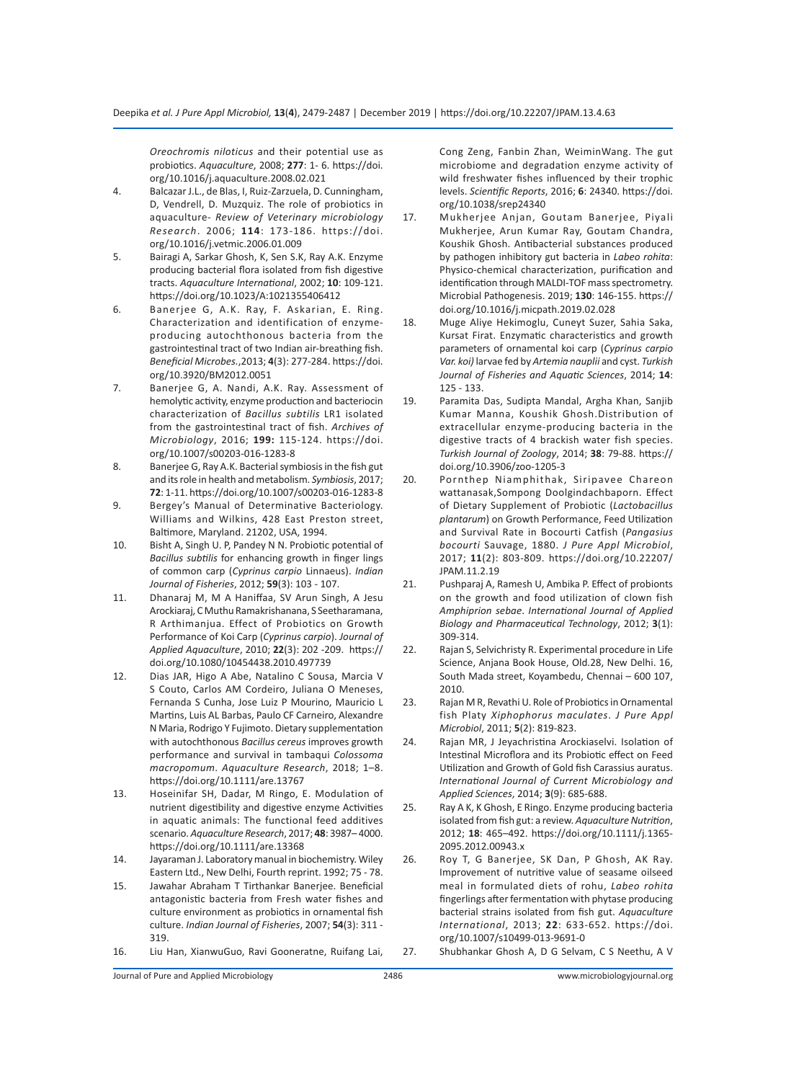*Oreochromis niloticus* and their potential use as probiotics. *Aquaculture*, 2008; **277**: 1- 6. https://doi. org/10.1016/j.aquaculture.2008.02.021

- 4. Balcazar J.L., de Blas, I, Ruiz-Zarzuela, D. Cunningham, D, Vendrell, D. Muzquiz. The role of probiotics in aquaculture- *Review of Veterinary microbiology Research*. 2006; **114**: 173-186. https://doi. org/10.1016/j.vetmic.2006.01.009
- 5. Bairagi A, Sarkar Ghosh, K, Sen S.K, Ray A.K. Enzyme producing bacterial flora isolated from fish digestive tracts. *Aquaculture International*, 2002; **10**: 109-121. https://doi.org/10.1023/A:1021355406412
- 6. Banerjee G, A.K. Ray, F. Askarian, E. Ring. Characterization and identification of enzymeproducing autochthonous bacteria from the gastrointestinal tract of two Indian air-breathing fish. *Beneficial Microbes.*,2013; **4**(3): 277-284. https://doi. org/10.3920/BM2012.0051
- 7. Banerjee G, A. Nandi, A.K. Ray. Assessment of hemolytic activity, enzyme production and bacteriocin characterization of *Bacillus subtilis* LR1 isolated from the gastrointestinal tract of fish. *Archives of Microbiology*, 2016; **199:** 115-124. https://doi. org/10.1007/s00203-016-1283-8
- 8. Banerjee G, Ray A.K. Bacterial symbiosis in the fish gut and its role in health and metabolism. *Symbiosis*, 2017; **72**: 1-11. https://doi.org/10.1007/s00203-016-1283-8
- 9. Bergey's Manual of Determinative Bacteriology. Williams and Wilkins, 428 East Preston street, Baltimore, Maryland. 21202, USA, 1994.
- 10. Bisht A, Singh U. P, Pandey N N. Probiotic potential of *Bacillus subtilis* for enhancing growth in finger lings of common carp (*Cyprinus carpio* Linnaeus). *Indian Journal of Fisheries*, 2012; **59**(3): 103 - 107.
- 11. Dhanaraj M, M A Haniffaa, SV Arun Singh, A Jesu Arockiaraj, C Muthu Ramakrishanana, S Seetharamana, R Arthimanjua. Effect of Probiotics on Growth Performance of Koi Carp (*Cyprinus carpio*). *Journal of Applied Aquaculture*, 2010; **22**(3): 202 -209. https:// doi.org/10.1080/10454438.2010.497739
- 12. Dias JAR, Higo A Abe, Natalino C Sousa, Marcia V S Couto, Carlos AM Cordeiro, Juliana O Meneses, Fernanda S Cunha, Jose Luiz P Mourino, Mauricio L Martins, Luis AL Barbas, Paulo CF Carneiro, Alexandre N Maria, Rodrigo Y Fujimoto. Dietary supplementation with autochthonous *Bacillus cereus* improves growth performance and survival in tambaqui *Colossoma macropomum*. *Aquaculture Research*, 2018; 1–8. https://doi.org/10.1111/are.13767
- 13. Hoseinifar SH, Dadar, M Ringo, E. Modulation of nutrient digestibility and digestive enzyme Activities in aquatic animals: The functional feed additives scenario. *Aquaculture Research*, 2017; **48**: 3987– 4000. https://doi.org/10.1111/are.13368
- 14. Jayaraman J. Laboratory manual in biochemistry. Wiley Eastern Ltd., New Delhi, Fourth reprint. 1992; 75 - 78.
- 15. Jawahar Abraham T Tirthankar Banerjee. Beneficial antagonistic bacteria from Fresh water fishes and culture environment as probiotics in ornamental fish culture. *Indian Journal of Fisheries*, 2007; **54**(3): 311 - 319.
- 16. Liu Han, XianwuGuo, Ravi Gooneratne, Ruifang Lai,

Cong Zeng, Fanbin Zhan, WeiminWang. The gut microbiome and degradation enzyme activity of wild freshwater fishes influenced by their trophic levels. *Scientific Reports*, 2016; **6**: 24340. https://doi. org/10.1038/srep24340

- 17. Mukherjee Anjan, Goutam Banerjee, Piyali Mukherjee, Arun Kumar Ray, Goutam Chandra, Koushik Ghosh. Antibacterial substances produced by pathogen inhibitory gut bacteria in *Labeo rohita*: Physico-chemical characterization, purification and identification through MALDI-TOF mass spectrometry. Microbial Pathogenesis. 2019; **130**: 146-155. https:// doi.org/10.1016/j.micpath.2019.02.028
- 18. Muge Aliye Hekimoglu, Cuneyt Suzer, Sahia Saka, Kursat Firat. Enzymatic characteristics and growth parameters of ornamental koi carp (*Cyprinus carpio Var. koi)* larvae fed by *Artemia nauplii* and cyst. *Turkish Journal of Fisheries and Aquatic Sciences*, 2014; **14**: 125 - 133.
- 19. Paramita Das, Sudipta Mandal, Argha Khan, Sanjib Kumar Manna, Koushik Ghosh.Distribution of extracellular enzyme-producing bacteria in the digestive tracts of 4 brackish water fish species. *Turkish Journal of Zoology*, 2014; **38**: 79-88. https:// doi.org/10.3906/zoo-1205-3
- 20. Pornthep Niamphithak, Siripavee Chareon wattanasak,Sompong Doolgindachbaporn. Effect of Dietary Supplement of Probiotic (*Lactobacillus plantarum*) on Growth Performance, Feed Utilization and Survival Rate in Bocourti Catfish (*Pangasius bocourti* Sauvage, 1880. *J Pure Appl Microbiol*, 2017; **11**(2): 803-809. https://doi.org/10.22207/ JPAM.11.2.19
- 21. Pushparaj A, Ramesh U, Ambika P. Effect of probionts on the growth and food utilization of clown fish *Amphiprion sebae*. *International Journal of Applied Biology and Pharmaceutical Technology*, 2012; **3**(1): 309-314.
- 22. Rajan S, Selvichristy R. Experimental procedure in Life Science, Anjana Book House, Old.28, New Delhi. 16, South Mada street, Koyambedu, Chennai – 600 107, 2010.
- 23. Rajan M R, Revathi U. Role of Probiotics in Ornamental fish Platy *Xiphophorus maculates*. *J Pure Appl Microbiol*, 2011; **5**(2): 819-823.
- 24. Rajan MR, J Jeyachristina Arockiaselvi. Isolation of Intestinal Microflora and its Probiotic effect on Feed Utilization and Growth of Gold fish Carassius auratus. *International Journal of Current Microbiology and Applied Sciences*, 2014; **3**(9): 685-688.
- 25. Ray A K, K Ghosh, E Ringo. Enzyme producing bacteria isolated from fish gut: a review. *Aquaculture Nutrition*, 2012; **18**: 465–492. https://doi.org/10.1111/j.1365- 2095.2012.00943.x
- 26. Roy T, G Banerjee, SK Dan, P Ghosh, AK Ray. Improvement of nutritive value of seasame oilseed meal in formulated diets of rohu, *Labeo rohita* fingerlings after fermentation with phytase producing bacterial strains isolated from fish gut. *Aquaculture International*, 2013; **22**: 633-652. https://doi. org/10.1007/s10499-013-9691-0
- 27. Shubhankar Ghosh A, D G Selvam, C S Neethu, A V